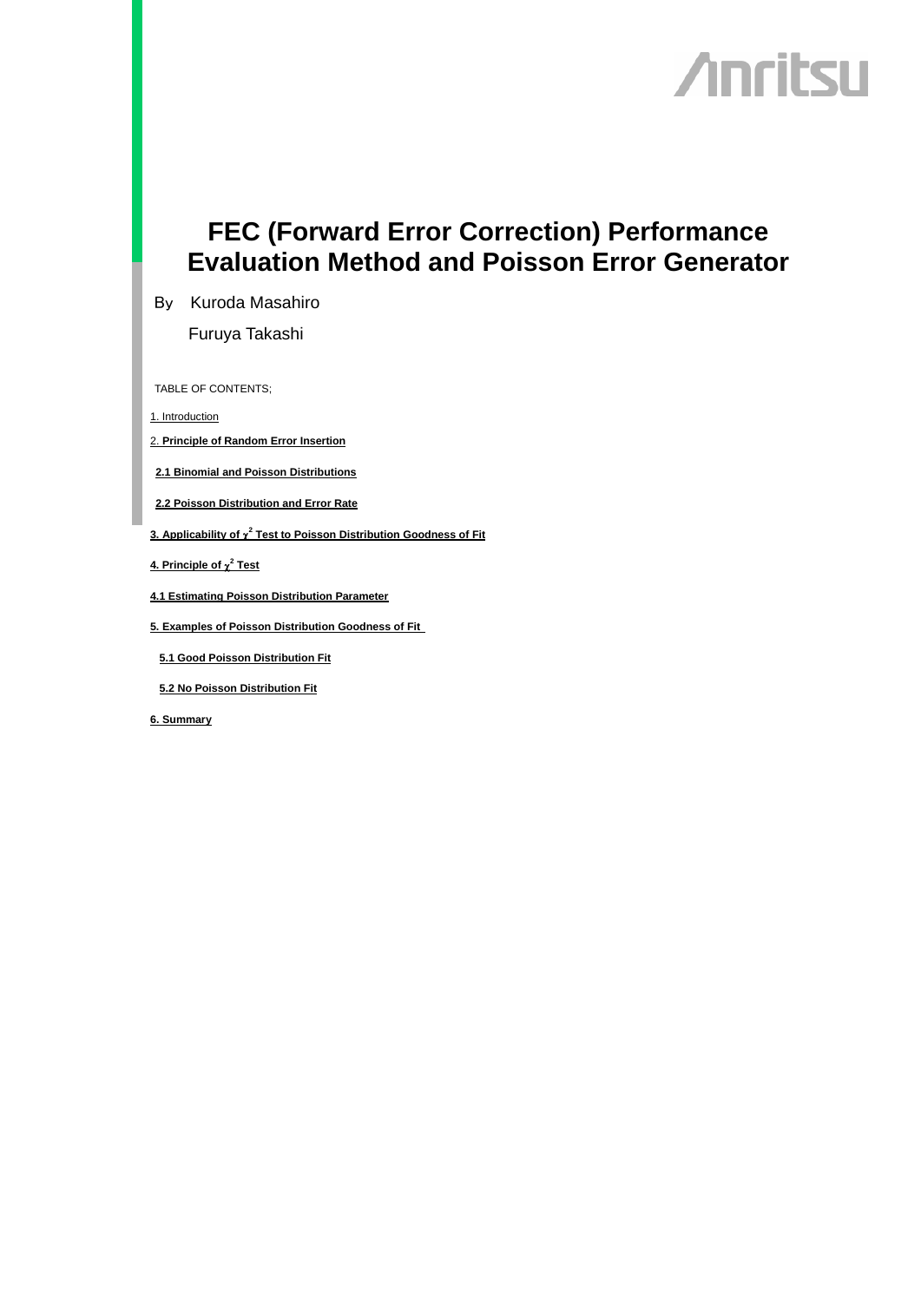# **Anritsu**

# **FEC (Forward Error Correction) Performance Evaluation Method and Poisson Error Generator**

By Kuroda Masahiro

Furuya Takashi

TABLE OF CONTENTS;

1. Introduction

2. **Principle of Random Error Insertion**

**2.1 Binomial and Poisson Distributions**

- **2.2 Poisson Distribution and Error Rate**
- **3. Applicability of** χ**<sup>2</sup> Test to Poisson Distribution Goodness of Fit**
- **4. Principle of** χ**<sup>2</sup> Test**
- **4.1 Estimating Poisson Distribution Parameter**
- **5. Examples of Poisson Distribution Goodness of Fit**
- **5.1 Good Poisson Distribution Fit**

**5.2 No Poisson Distribution Fit**

**6. Summary**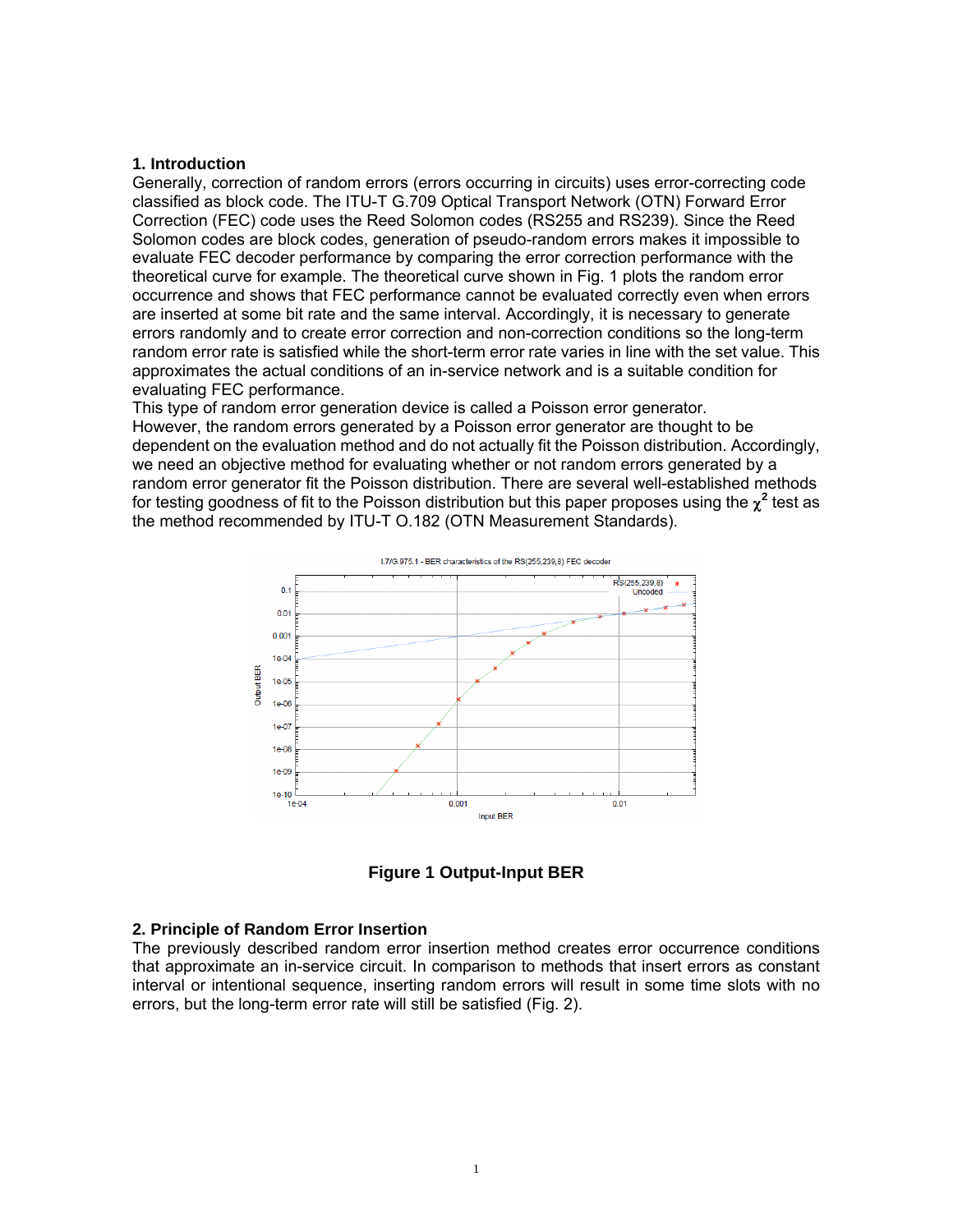#### **1. Introduction**

Generally, correction of random errors (errors occurring in circuits) uses error-correcting code classified as block code. The ITU-T G.709 Optical Transport Network (OTN) Forward Error Correction (FEC) code uses the Reed Solomon codes (RS255 and RS239). Since the Reed Solomon codes are block codes, generation of pseudo-random errors makes it impossible to evaluate FEC decoder performance by comparing the error correction performance with the theoretical curve for example. The theoretical curve shown in Fig. 1 plots the random error occurrence and shows that FEC performance cannot be evaluated correctly even when errors are inserted at some bit rate and the same interval. Accordingly, it is necessary to generate errors randomly and to create error correction and non-correction conditions so the long-term random error rate is satisfied while the short-term error rate varies in line with the set value. This approximates the actual conditions of an in-service network and is a suitable condition for evaluating FEC performance.

This type of random error generation device is called a Poisson error generator. However, the random errors generated by a Poisson error generator are thought to be dependent on the evaluation method and do not actually fit the Poisson distribution. Accordingly, we need an objective method for evaluating whether or not random errors generated by a random error generator fit the Poisson distribution. There are several well-established methods for testing goodness of fit to the Poisson distribution but this paper proposes using the  $\chi^2$  test as the method recommended by ITU-T O.182 (OTN Measurement Standards).



**Figure 1 Output-Input BER** 

#### **2. Principle of Random Error Insertion**

The previously described random error insertion method creates error occurrence conditions that approximate an in-service circuit. In comparison to methods that insert errors as constant interval or intentional sequence, inserting random errors will result in some time slots with no errors, but the long-term error rate will still be satisfied (Fig. 2).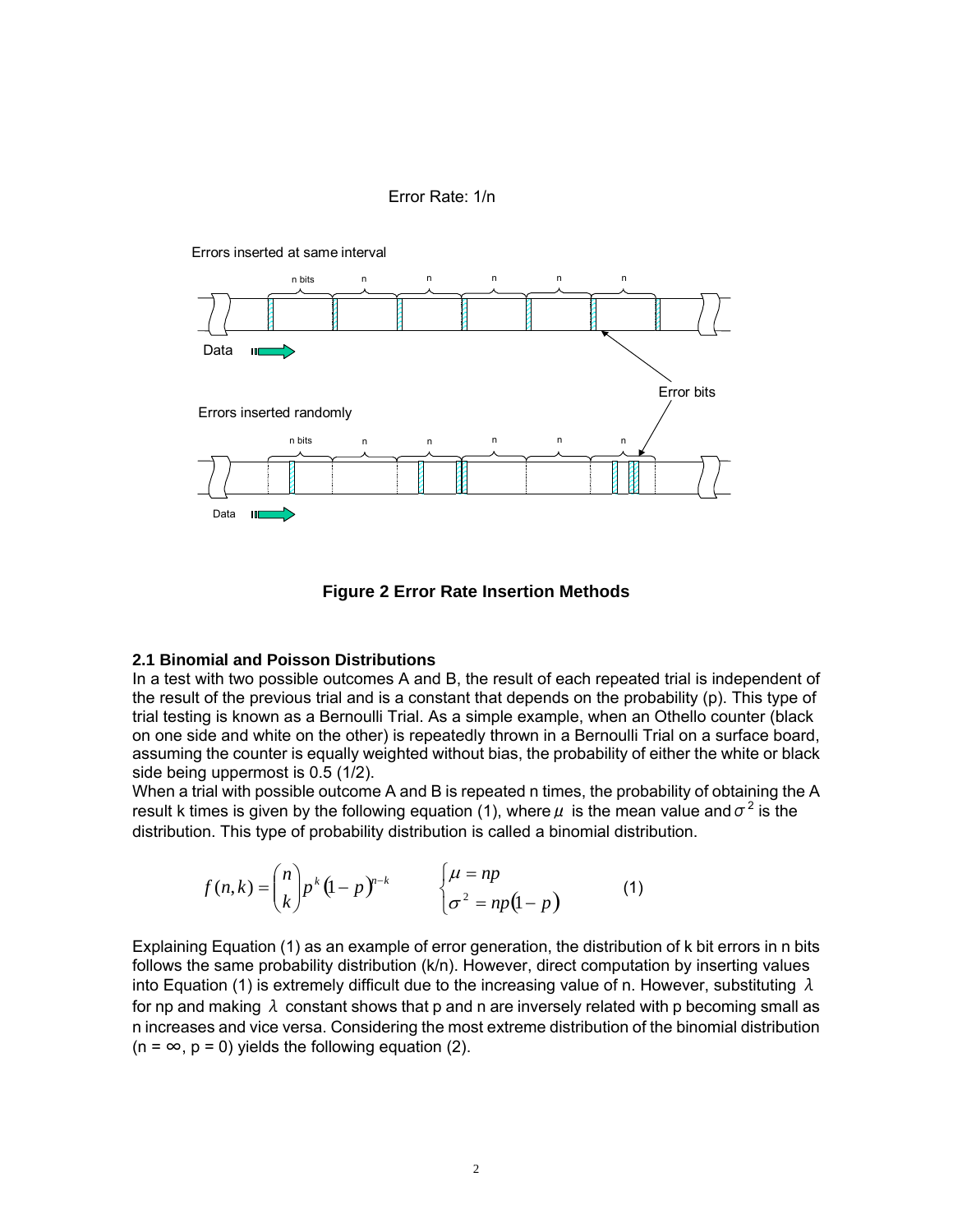$Error Rate: 1/n$ Error Rate: 1/n



**Figure 2 Error Rate Insertion Methods** 

#### **2.1 Binomial and Poisson Distributions**

In a test with two possible outcomes A and B, the result of each repeated trial is independent of the result of the previous trial and is a constant that depends on the probability (p). This type of trial testing is known as a Bernoulli Trial. As a simple example, when an Othello counter (black on one side and white on the other) is repeatedly thrown in a Bernoulli Trial on a surface board, assuming the counter is equally weighted without bias, the probability of either the white or black side being uppermost is 0.5 (1/2).

When a trial with possible outcome A and B is repeated n times, the probability of obtaining the A result k times is given by the following equation (1), where  $\mu$  is the mean value and  $\sigma^2$  is the distribution. This type of probability distribution is called a binomial distribution.

$$
f(n,k) = {n \choose k} p^k (1-p)^{n-k} \qquad \begin{cases} \mu = np \\ \sigma^2 = np(1-p) \end{cases}
$$
 (1)

Explaining Equation (1) as an example of error generation, the distribution of k bit errors in n bits follows the same probability distribution (k/n). However, direct computation by inserting values into Equation (1) is extremely difficult due to the increasing value of n. However, substituting  $\lambda$ for np and making  $\lambda$  constant shows that p and n are inversely related with p becoming small as n increases and vice versa. Considering the most extreme distribution of the binomial distribution  $(n = \infty, p = 0)$  yields the following equation (2).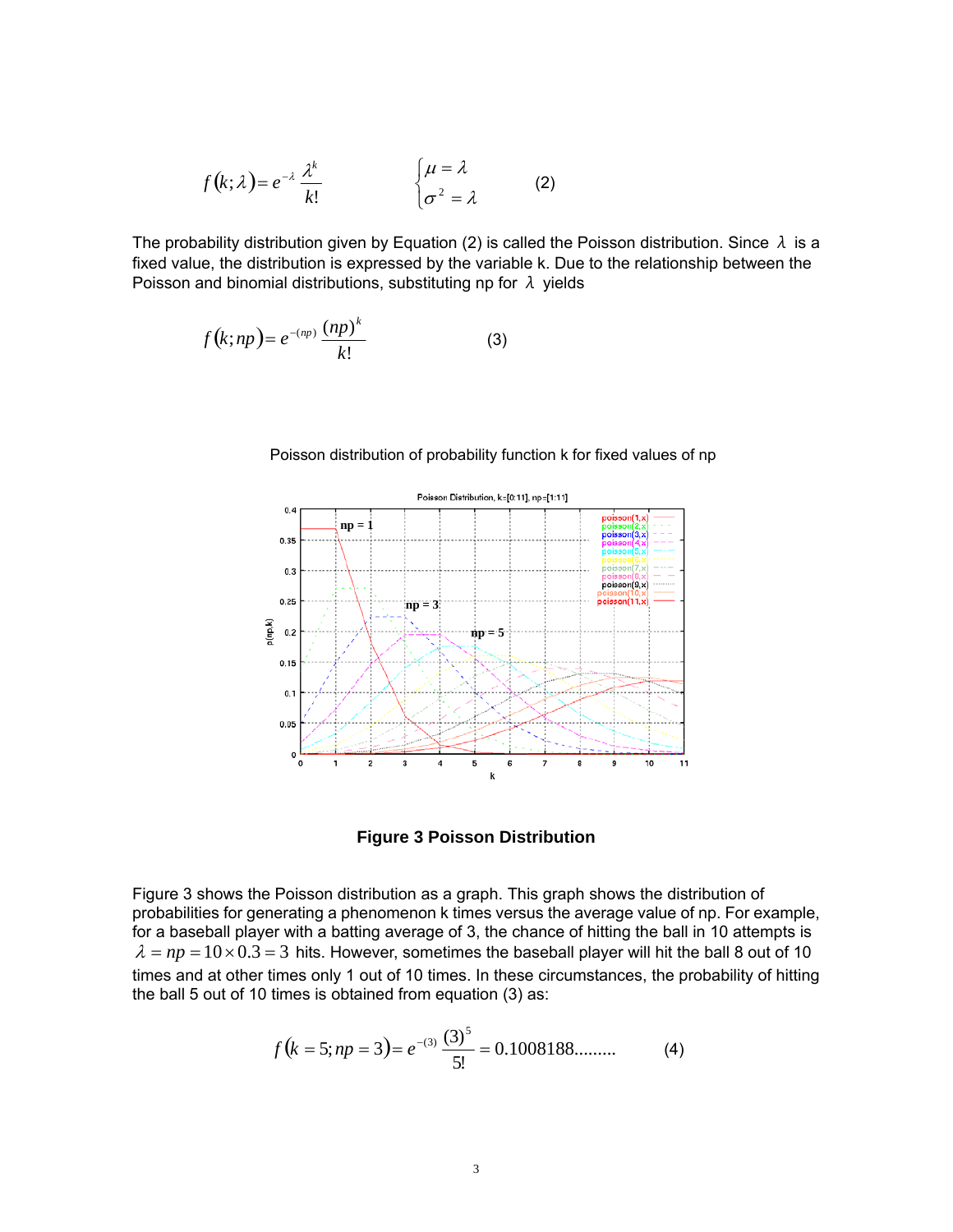$$
f(k; \lambda) = e^{-\lambda} \frac{\lambda^k}{k!} \qquad \qquad \begin{cases} \mu = \lambda \\ \sigma^2 = \lambda \end{cases}
$$
 (2)

The probability distribution given by Equation (2) is called the Poisson distribution. Since  $\lambda$  is a fixed value, the distribution is expressed by the variable k. Due to the relationship between the Poisson and binomial distributions, substituting np for  $\lambda$  yields

$$
f(k;np) = e^{-(np)} \frac{(np)^k}{k!}
$$
 (3)



Poisson distribution of probability function k for fixed values of np

**Figure 3 Poisson Distribution** 

Figure 3 shows the Poisson distribution as a graph. This graph shows the distribution of probabilities for generating a phenomenon k times versus the average value of np. For example, for a baseball player with a batting average of 3, the chance of hitting the ball in 10 attempts is  $\lambda = np = 10 \times 0.3 = 3$  hits. However, sometimes the baseball player will hit the ball 8 out of 10 times and at other times only 1 out of 10 times. In these circumstances, the probability of hitting the ball 5 out of 10 times is obtained from equation (3) as:

$$
f(k = 5; np = 3) = e^{-(3)} \frac{(3)^5}{5!} = 0.1008188...
$$
 (4)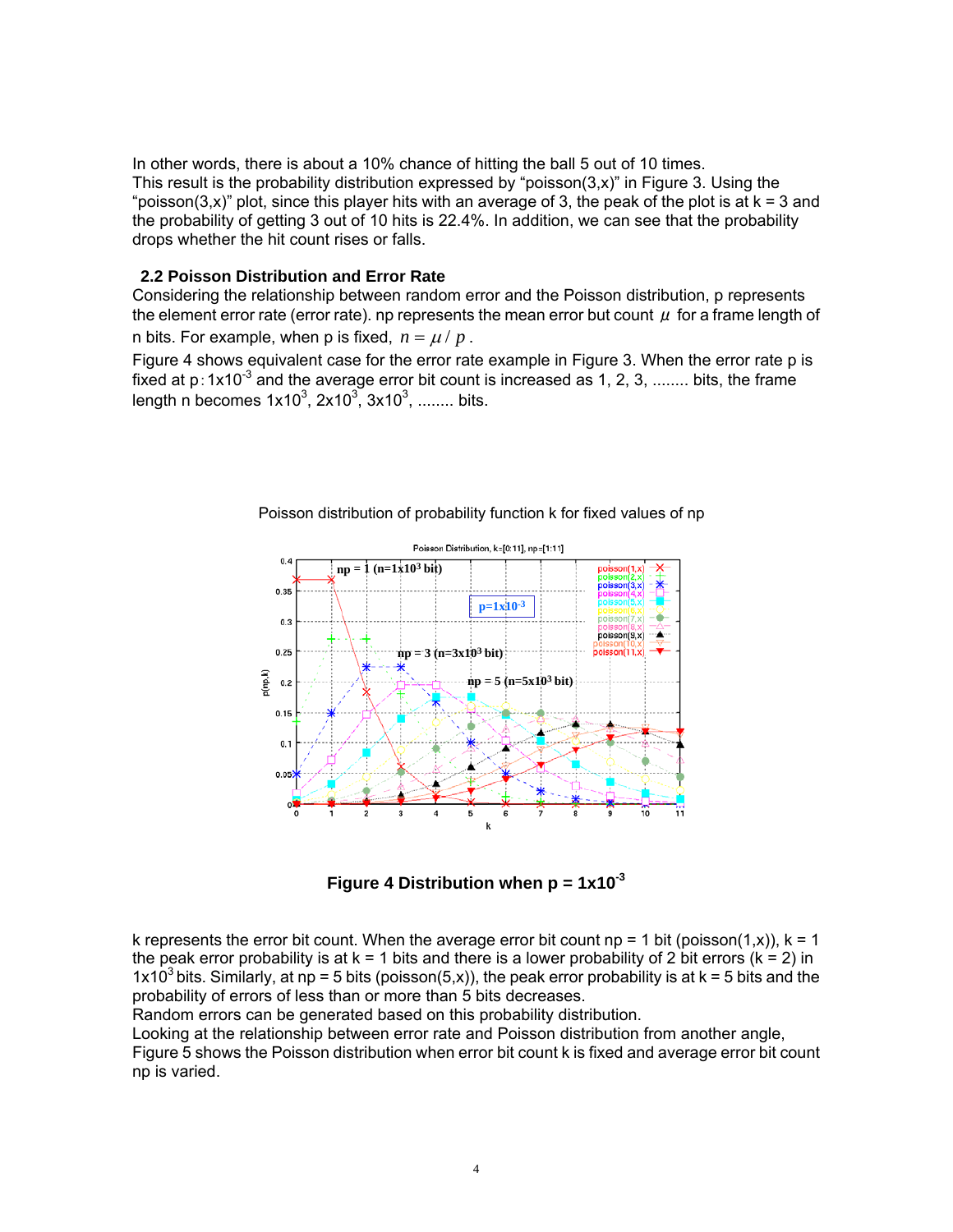In other words, there is about a 10% chance of hitting the ball 5 out of 10 times. This result is the probability distribution expressed by "poisson $(3,x)$ " in Figure 3. Using the "poisson(3,x)" plot, since this player hits with an average of 3, the peak of the plot is at  $k = 3$  and the probability of getting 3 out of 10 hits is 22.4%. In addition, we can see that the probability drops whether the hit count rises or falls.

#### **2.2 Poisson Distribution and Error Rate**

Considering the relationship between random error and the Poisson distribution, p represents the element error rate (error rate). np represents the mean error but count  $\mu$  for a frame length of n bits. For example, when p is fixed,  $n = \mu / p$ .

Figure 4 shows equivalent case for the error rate example in Figure 3. When the error rate p is fixed at  $p:1x10^{-3}$  and the average error bit count is increased as 1, 2, 3, ........ bits, the frame length n becomes  $1x10^3$ ,  $2x10^3$ ,  $3x10^3$ , ........ bits.



Poisson distribution of probability function k for fixed values of np

**Figure 4 Distribution when p = 1x10-3**

k represents the error bit count. When the average error bit count  $np = 1$  bit (poisson(1,x)),  $k = 1$ the peak error probability is at  $k = 1$  bits and there is a lower probability of 2 bit errors ( $k = 2$ ) in 1x10<sup>3</sup> bits. Similarly, at np = 5 bits (poisson(5,x)), the peak error probability is at k = 5 bits and the probability of errors of less than or more than 5 bits decreases.

Random errors can be generated based on this probability distribution.

Looking at the relationship between error rate and Poisson distribution from another angle, Figure 5 shows the Poisson distribution when error bit count k is fixed and average error bit count np is varied.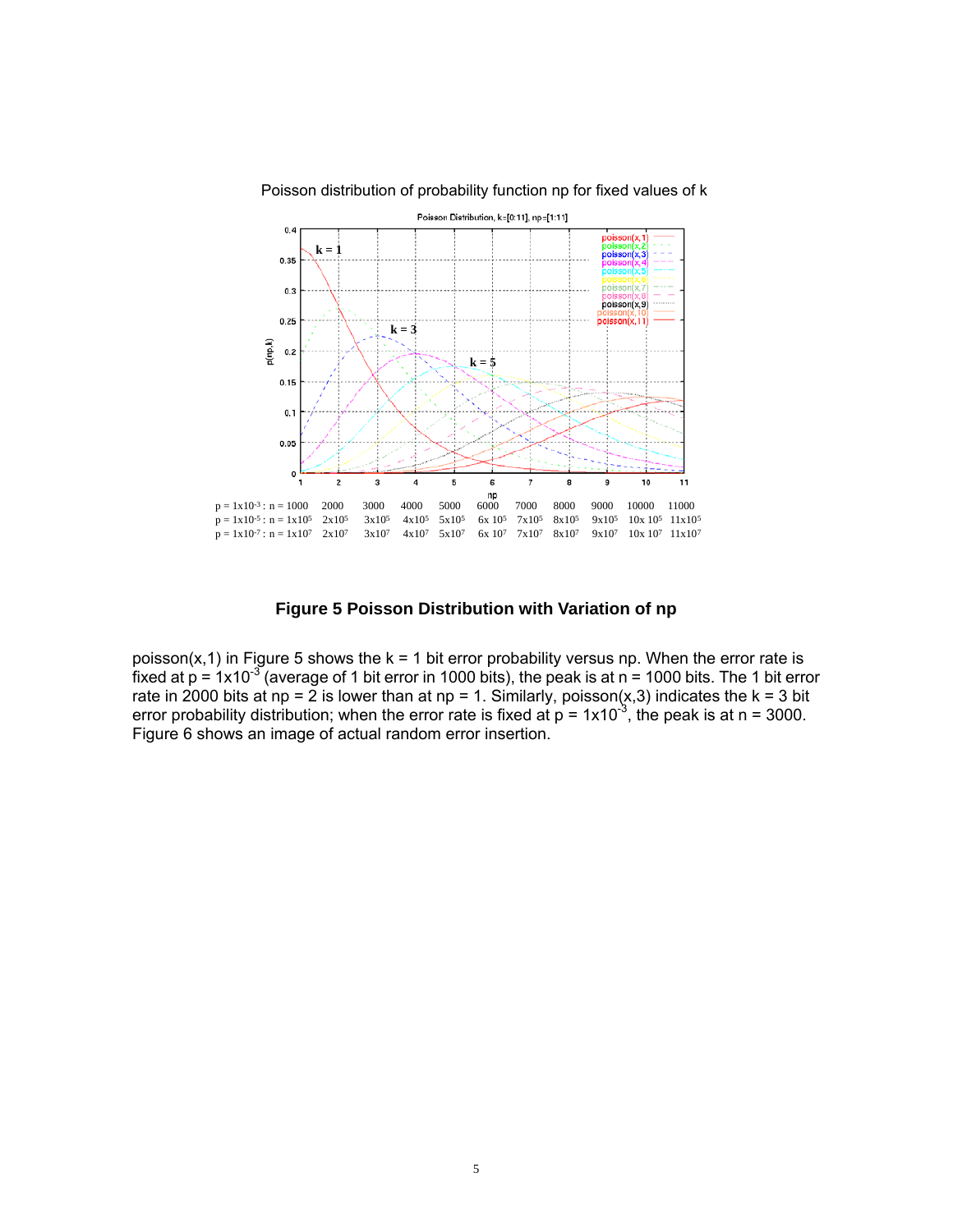

#### Poisson distribution of probability function np for fixed values of k

**Figure 5 Poisson Distribution with Variation of np** 

poisson(x,1) in Figure 5 shows the  $k = 1$  bit error probability versus np. When the error rate is fixed at  $p = 1x10^{-3}$  (average of 1 bit error in 1000 bits), the peak is at n = 1000 bits. The 1 bit error rate in 2000 bits at np = 2 is lower than at np = 1. Similarly, poisson(x,3) indicates the k = 3 bit error probability distribution; when the error rate is fixed at  $p = 1x10^{-3}$ , the peak is at n = 3000. Figure 6 shows an image of actual random error insertion.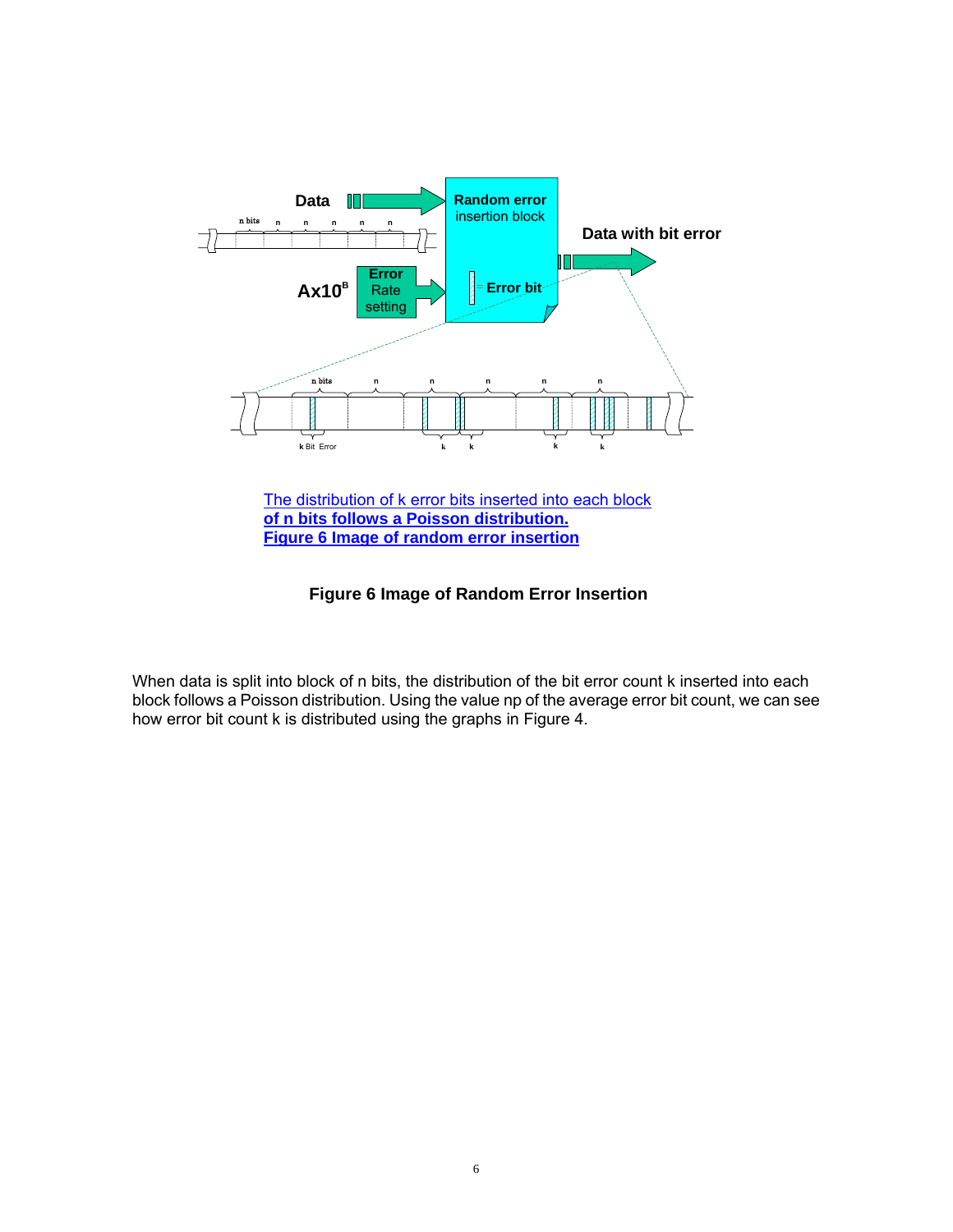

The distribution of k error bits inserted into each block **of n bits follows a Poisson distribution. Figure 6 Image of random error insertion**

# **Figure 6 Image of Random Error Insertion**

When data is split into block of n bits, the distribution of the bit error count k inserted into each block follows a Poisson distribution. Using the value np of the average error bit count, we can see how error bit count k is distributed using the graphs in Figure 4.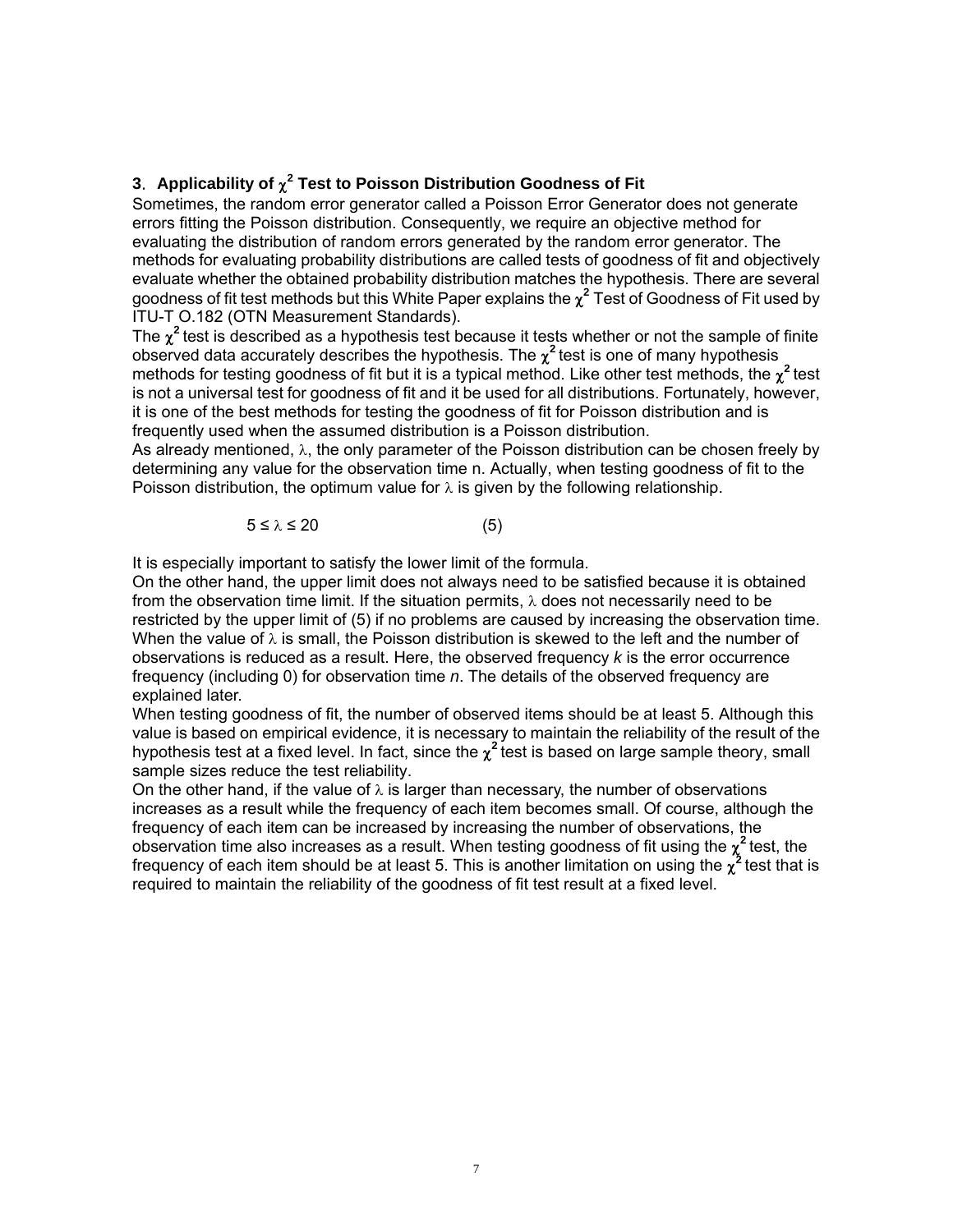# **3.** Applicability of  $\chi^2$  Test to Poisson Distribution Goodness of Fit

Sometimes, the random error generator called a Poisson Error Generator does not generate errors fitting the Poisson distribution. Consequently, we require an objective method for evaluating the distribution of random errors generated by the random error generator. The methods for evaluating probability distributions are called tests of goodness of fit and objectively evaluate whether the obtained probability distribution matches the hypothesis. There are several goodness of fit test methods but this White Paper explains the χ **<sup>2</sup>** Test of Goodness of Fit used by ITU-T O.182 (OTN Measurement Standards).

The  $\chi^2$  test is described as a hypothesis test because it tests whether or not the sample of finite observed data accurately describes the hypothesis. The  $\chi^2$  test is one of many hypothesis methods for testing goodness of fit but it is a typical method. Like other test methods, the  $\chi^2$  test is not a universal test for goodness of fit and it be used for all distributions. Fortunately, however, it is one of the best methods for testing the goodness of fit for Poisson distribution and is frequently used when the assumed distribution is a Poisson distribution.

As already mentioned, λ, the only parameter of the Poisson distribution can be chosen freely by determining any value for the observation time n. Actually, when testing goodness of fit to the Poisson distribution, the optimum value for  $\lambda$  is given by the following relationship.

$$
5 \le \lambda \le 20 \tag{5}
$$

It is especially important to satisfy the lower limit of the formula.

On the other hand, the upper limit does not always need to be satisfied because it is obtained from the observation time limit. If the situation permits,  $\lambda$  does not necessarily need to be restricted by the upper limit of (5) if no problems are caused by increasing the observation time. When the value of  $\lambda$  is small, the Poisson distribution is skewed to the left and the number of observations is reduced as a result. Here, the observed frequency *k* is the error occurrence frequency (including 0) for observation time *n*. The details of the observed frequency are explained later.

When testing goodness of fit, the number of observed items should be at least 5. Although this value is based on empirical evidence, it is necessary to maintain the reliability of the result of the hypothesis test at a fixed level. In fact, since the  $\chi^2$  test is based on large sample theory, small sample sizes reduce the test reliability.

On the other hand, if the value of  $\lambda$  is larger than necessary, the number of observations increases as a result while the frequency of each item becomes small. Of course, although the frequency of each item can be increased by increasing the number of observations, the observation time also increases as a result. When testing goodness of fit using the χ **<sup>2</sup>**test, the frequency of each item should be at least 5. This is another limitation on using the  $\chi^2$  test that is required to maintain the reliability of the goodness of fit test result at a fixed level.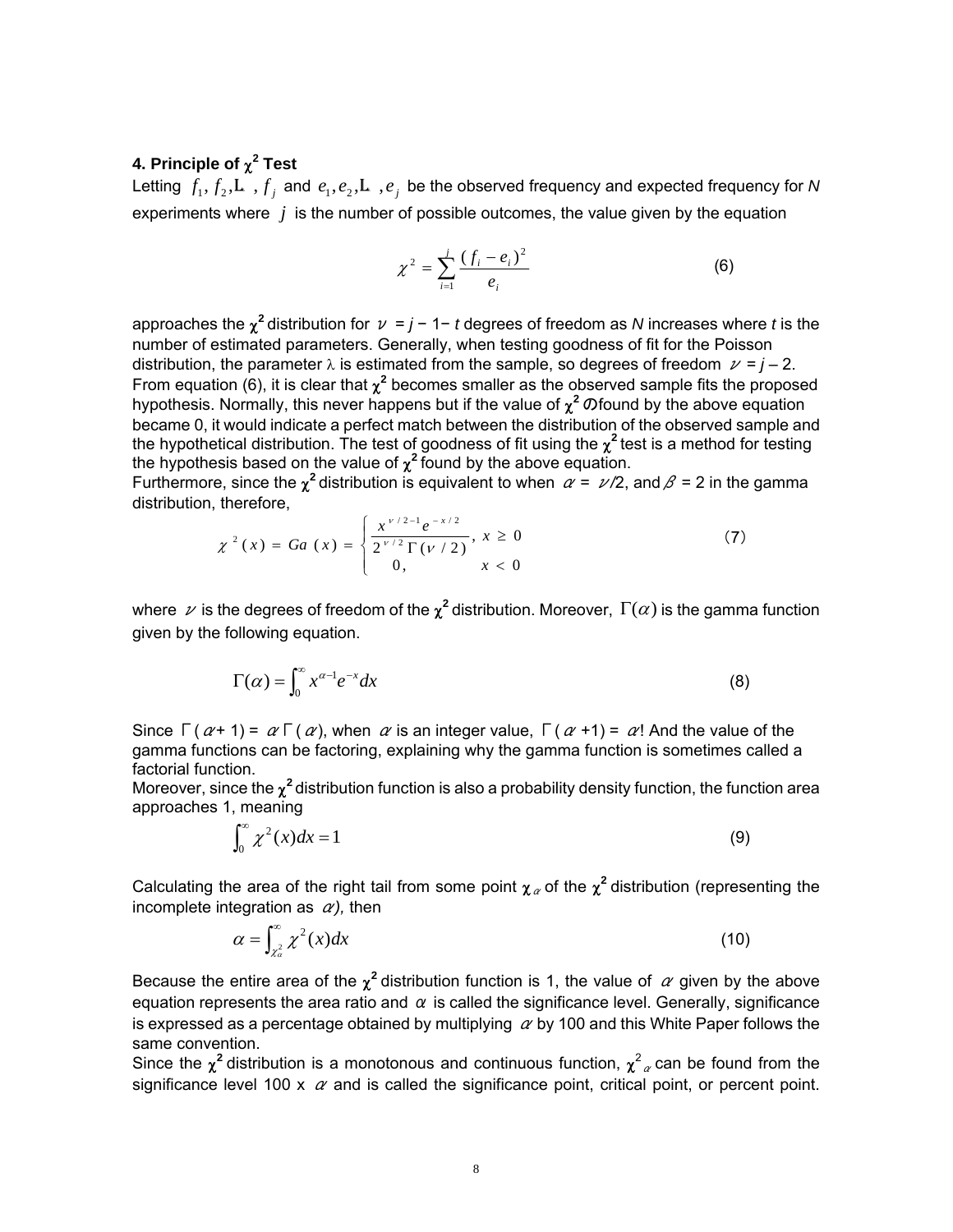# **4. Principle of** χ **2 Test**

Letting  $f_1, f_2, L$ ,  $f_j$  and  $e_1, e_2, L$ ,  $e_j$  be the observed frequency and expected frequency for *N* experiments where *j* is the number of possible outcomes, the value given by the equation

$$
\chi^2 = \sum_{i=1}^{j} \frac{(f_i - e_i)^2}{e_i}
$$
 (6)

approaches the  $\chi^2$  distribution for  $\nu = j - 1 - t$  degrees of freedom as *N* increases where *t* is the number of estimated parameters. Generally, when testing goodness of fit for the Poisson distribution, the parameter  $\lambda$  is estimated from the sample, so degrees of freedom  $\nu = j - 2$ . From equation (6), it is clear that  $\chi^2$  becomes smaller as the observed sample fits the proposed hypothesis. Normally, this never happens but if the value of  $\chi^2$  *O* found by the above equation became 0, it would indicate a perfect match between the distribution of the observed sample and the hypothetical distribution. The test of goodness of fit using the χ **<sup>2</sup>**test is a method for testing the hypothesis based on the value of  $\chi^2$  found by the above equation.

Furthermore, since the  $\chi^2$  distribution is equivalent to when  $\alpha = \nu/2$ , and  $\beta = 2$  in the gamma distribution, therefore,

$$
\chi^{2}(x) = Ga(x) = \begin{cases} \frac{x^{\nu/2 - 1}e^{-x/2}}{2^{\nu/2}\Gamma(\nu/2)}, x \ge 0\\ 0, x < 0 \end{cases}
$$
 (7)

where  $\nu$  is the degrees of freedom of the  $\chi^2$  distribution. Moreover,  $\Gamma(\alpha)$  is the gamma function given by the following equation.

$$
\Gamma(\alpha) = \int_0^\infty x^{\alpha - 1} e^{-x} dx \tag{8}
$$

Since  $\Gamma(\alpha+1) = \alpha \Gamma(\alpha)$ , when  $\alpha$  is an integer value,  $\Gamma(\alpha+1) = \alpha!$  And the value of the gamma functions can be factoring, explaining why the gamma function is sometimes called a factorial function.

Moreover, since the  $\chi^2$  distribution function is also a probability density function, the function area approaches 1, meaning

$$
\int_0^\infty \chi^2(x)dx = 1\tag{9}
$$

Calculating the area of the right tail from some point  $\chi_{\alpha}$  of the  $\chi^2$  distribution (representing the incomplete integration as  $\alpha$ ), then

$$
\alpha = \int_{\chi^2_{\alpha}}^{\infty} \chi^2(x) dx \tag{10}
$$

Because the entire area of the  $\chi^2$  distribution function is 1, the value of  $\alpha$  given by the above equation represents the area ratio and  $\alpha$  is called the significance level. Generally, significance is expressed as a percentage obtained by multiplying  $\alpha$  by 100 and this White Paper follows the same convention.

Since the  $\chi^2$  distribution is a monotonous and continuous function,  $\chi^2_{\alpha}$  can be found from the significance level 100 x  $\alpha$  and is called the significance point, critical point, or percent point.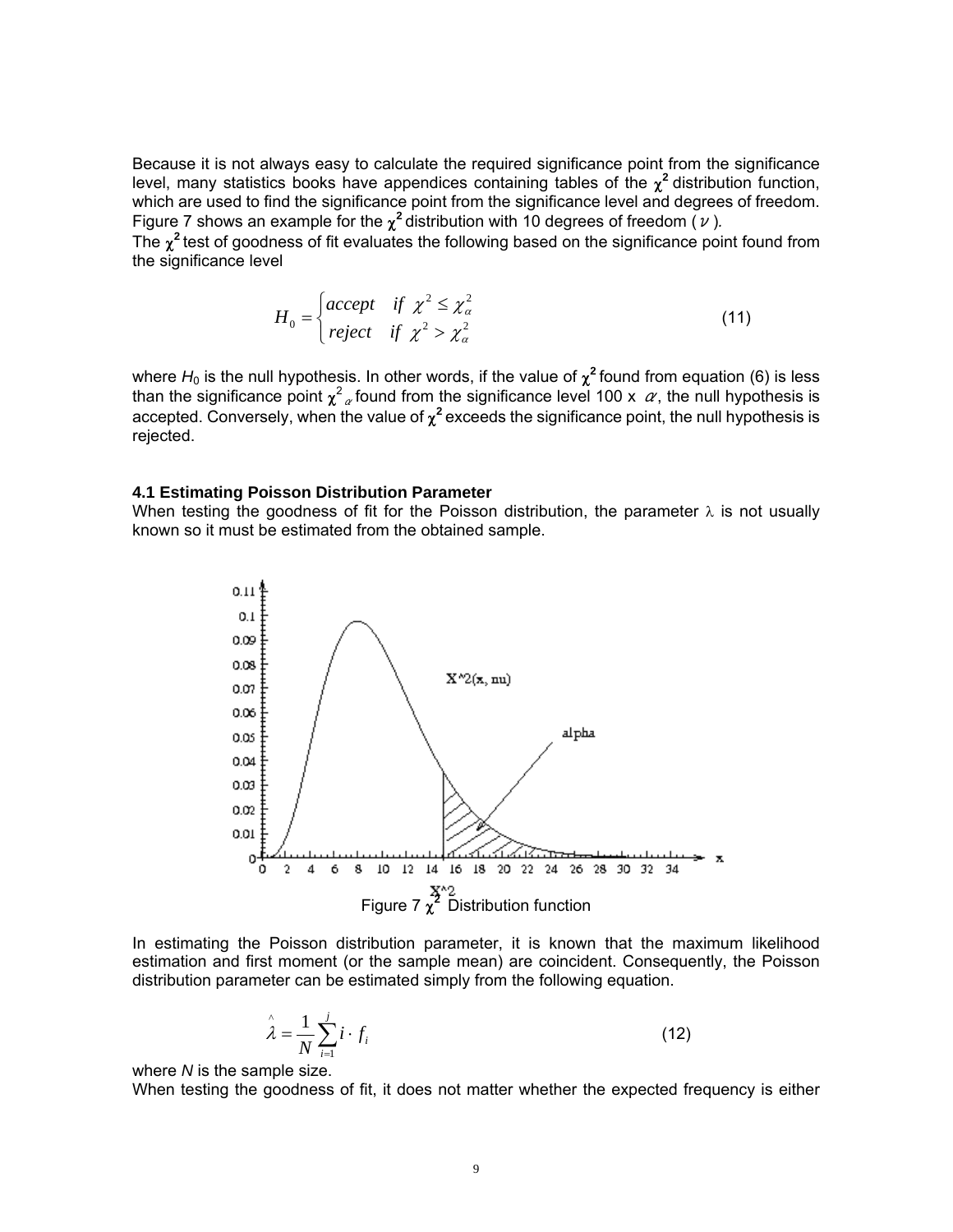Because it is not always easy to calculate the required significance point from the significance level, many statistics books have appendices containing tables of the  $\chi^2$  distribution function, which are used to find the significance point from the significance level and degrees of freedom. Figure 7 shows an example for the  $\chi^2$  distribution with 10 degrees of freedom ( $\nu$ ).

The  $\chi^2$  test of goodness of fit evaluates the following based on the significance point found from the significance level

$$
H_0 = \begin{cases} accept & \text{if } \chi^2 \leq \chi^2_{\alpha} \\ reject & \text{if } \chi^2 > \chi^2_{\alpha} \end{cases}
$$
 (11)

where H<sub>0</sub> is the null hypothesis. In other words, if the value of  $\chi^2$  found from equation (6) is less than the significance point  $\chi^2$  found from the significance level 100 x  $\alpha$ , the null hypothesis is accepted. Conversely, when the value of  $\chi^2$  exceeds the significance point, the null hypothesis is rejected.

#### **4.1 Estimating Poisson Distribution Parameter**

When testing the goodness of fit for the Poisson distribution, the parameter  $\lambda$  is not usually known so it must be estimated from the obtained sample.



In estimating the Poisson distribution parameter, it is known that the maximum likelihood estimation and first moment (or the sample mean) are coincident. Consequently, the Poisson distribution parameter can be estimated simply from the following equation.

$$
\hat{\lambda} = \frac{1}{N} \sum_{i=1}^{j} i \cdot f_i
$$
\n(12)

where *N* is the sample size.

When testing the goodness of fit, it does not matter whether the expected frequency is either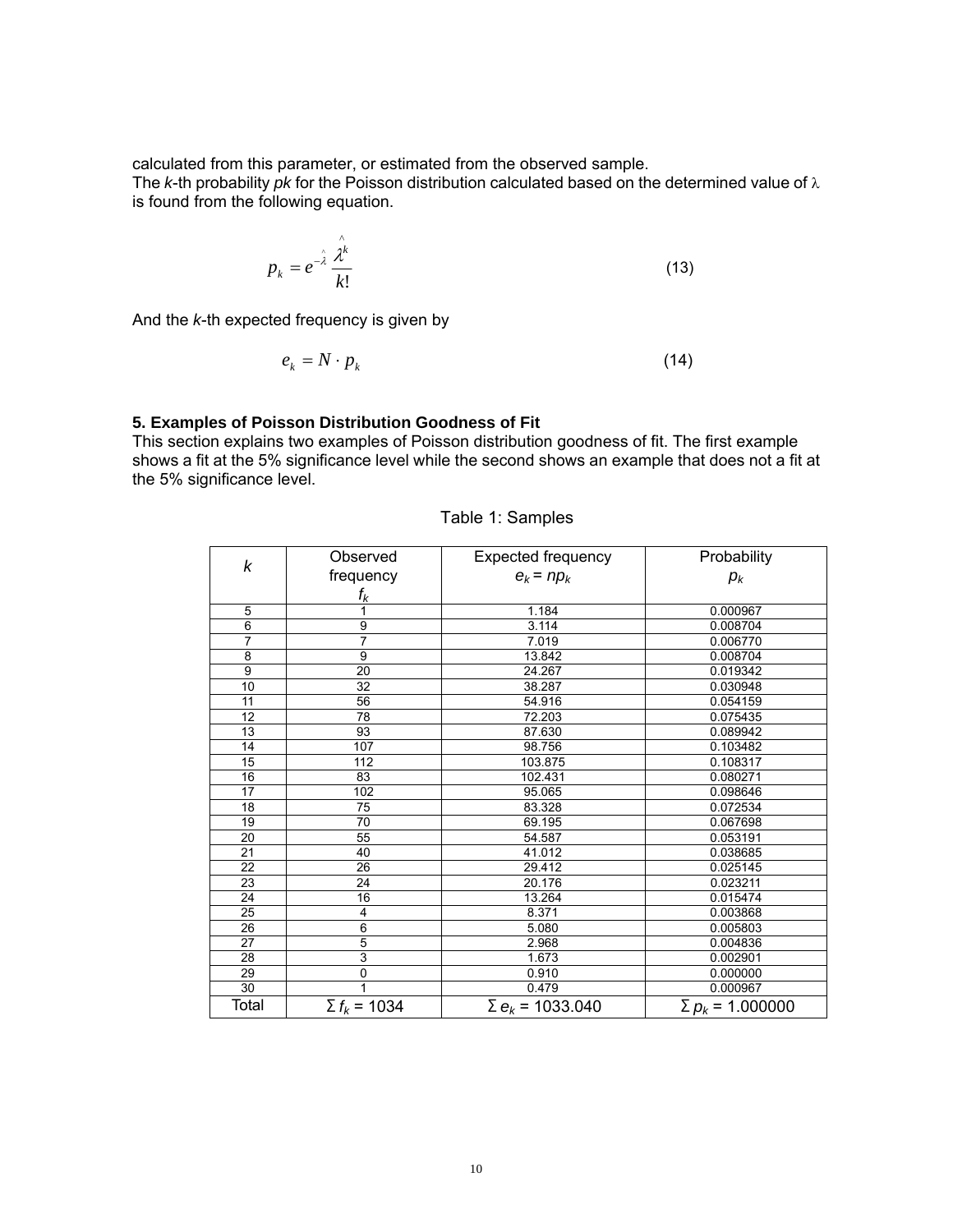calculated from this parameter, or estimated from the observed sample.

The *k*-th probability *pk* for the Poisson distribution calculated based on the determined value of λ is found from the following equation.

$$
p_k = e^{-\hat{\lambda}} \frac{\hat{\lambda}^k}{k!}
$$
 (13)

And the *k*-th expected frequency is given by

$$
e_k = N \cdot p_k \tag{14}
$$

# **5. Examples of Poisson Distribution Goodness of Fit**

This section explains two examples of Poisson distribution goodness of fit. The first example shows a fit at the 5% significance level while the second shows an example that does not a fit at the 5% significance level.

| k              | Observed            | Expected frequency                 | Probability             |
|----------------|---------------------|------------------------------------|-------------------------|
| frequency      |                     | $e_k = np_k$                       | $p_{k}$                 |
|                | $f_k$               |                                    |                         |
| 5              | 1                   | 1.184                              | 0.000967                |
| 6              | 9                   | 3.114                              | 0.008704                |
| $\overline{7}$ | 7                   | 7.019                              | 0.006770                |
| 8              | 9                   | 13.842                             | 0.008704                |
| 9              | 20                  | 24.267                             | 0.019342                |
| 10             | 32                  | 38.287                             | 0.030948                |
| 11             | 56                  | 54.916                             | 0.054159                |
| 12             | 78                  | 72.203                             | 0.075435                |
| 13             | 93                  | 87.630                             | 0.089942                |
| 14             | 107                 | 98.756                             | 0.103482                |
| 15             | 112                 | 103.875                            | 0.108317                |
| 16             | 83                  | 102.431                            | 0.080271                |
| 17             | 102                 | 95.065                             | 0.098646                |
| 18             | 75                  | 83.328                             | 0.072534                |
| 19             | 70                  | 69.195                             | 0.067698                |
| 20             | 55                  | 54.587                             | 0.053191                |
| 21             | 40                  | 41.012                             | 0.038685                |
| 22             | 26                  | 29.412                             | 0.025145                |
| 23             | 24                  | 20.176                             | 0.023211                |
| 24             | 16                  | 13.264                             | 0.015474                |
| 25             | $\overline{4}$      | 8.371                              | 0.003868                |
| 26             | $\overline{6}$      | 5.080                              | 0.005803                |
| 27             | 5                   | 2.968                              | 0.004836                |
| 28             | 3                   | 1.673                              | 0.002901                |
| 29             | $\mathbf 0$         | 0.910                              | 0.000000                |
| 30             |                     | 0.479                              | 0.000967                |
| Total          | $\Sigma f_k = 1034$ | $\Sigma$ e <sub>k</sub> = 1033.040 | $\Sigma p_k$ = 1.000000 |

Table 1: Samples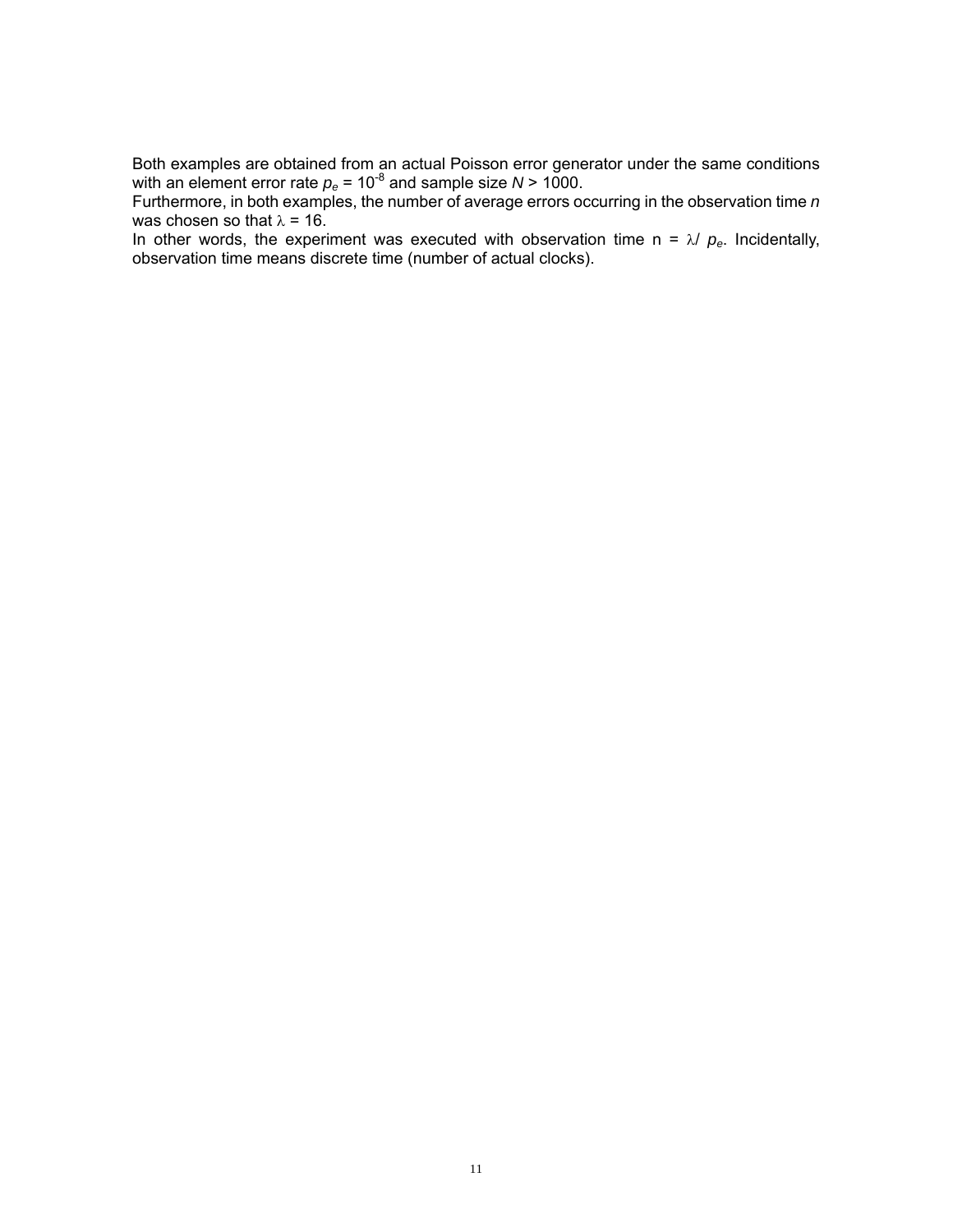Both examples are obtained from an actual Poisson error generator under the same conditions with an element error rate  $p_e$  = 10<sup>-8</sup> and sample size  $N$  > 1000.

Furthermore, in both examples, the number of average errors occurring in the observation time *n* was chosen so that  $\lambda = 16$ .

In other words, the experiment was executed with observation time  $n = \lambda / p_e$ . Incidentally, observation time means discrete time (number of actual clocks).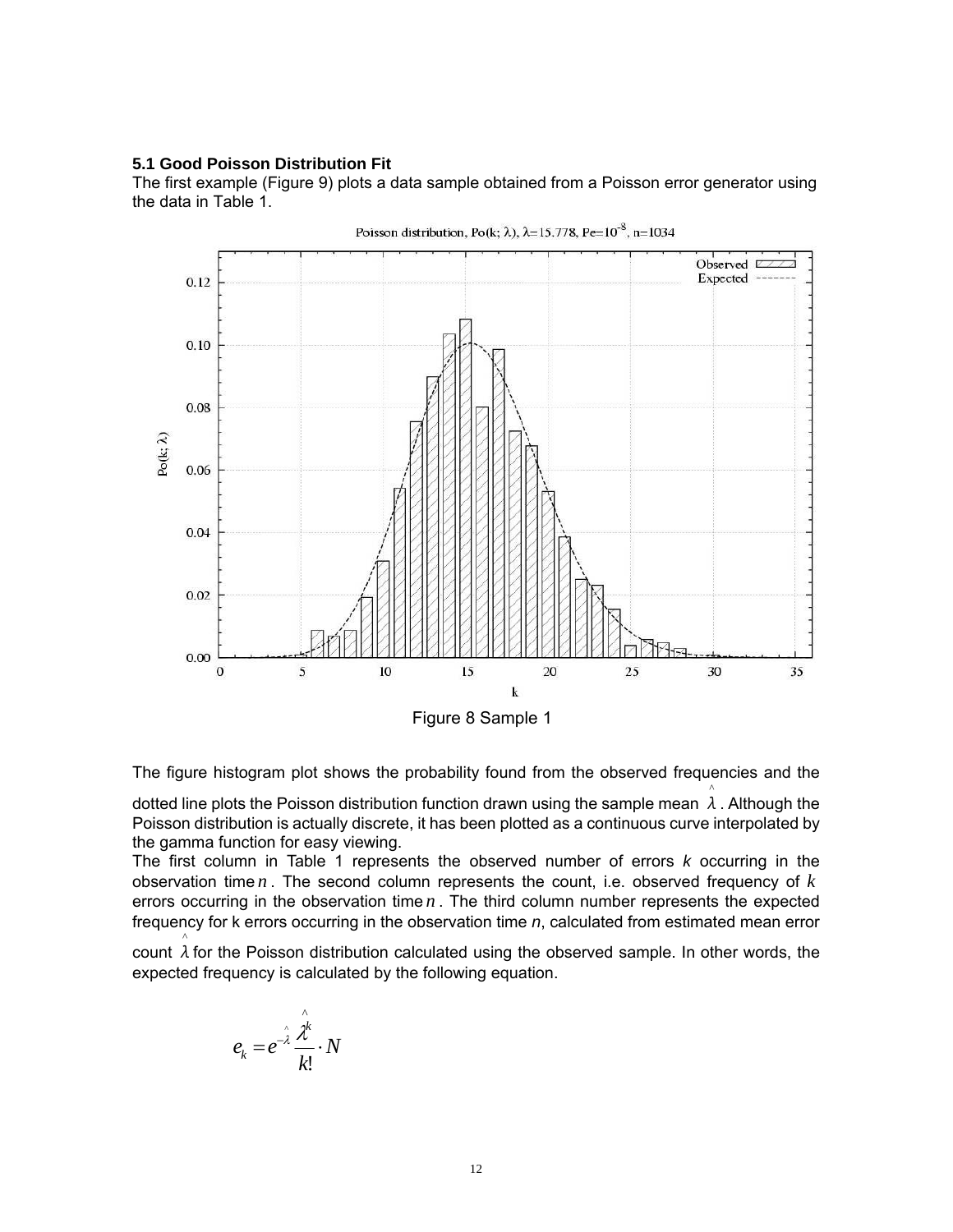#### **5.1 Good Poisson Distribution Fit**

The first example (Figure 9) plots a data sample obtained from a Poisson error generator using the data in Table 1.



Poisson distribution, Po(k;  $\lambda$ ),  $\lambda$ =15.778, Pe=10<sup>-8</sup>, n=1034

The figure histogram plot shows the probability found from the observed frequencies and the

dotted line plots the Poisson distribution function drawn using the sample mean  $\lambda$ . Although the ^ Poisson distribution is actually discrete, it has been plotted as a continuous curve interpolated by the gamma function for easy viewing.

The first column in Table 1 represents the observed number of errors *k* occurring in the observation time *n* . The second column represents the count, i.e. observed frequency of *k* errors occurring in the observation time *n* . The third column number represents the expected frequency for k errors occurring in the observation time *n*, calculated from estimated mean error

count  $\lambda$  for the Poisson distribution calculated using the observed sample. In other words, the expected frequency is calculated by the following equation.

$$
e_k = e^{-\hat{\lambda}} \frac{\hat{\lambda}^k}{k!} \cdot N
$$

^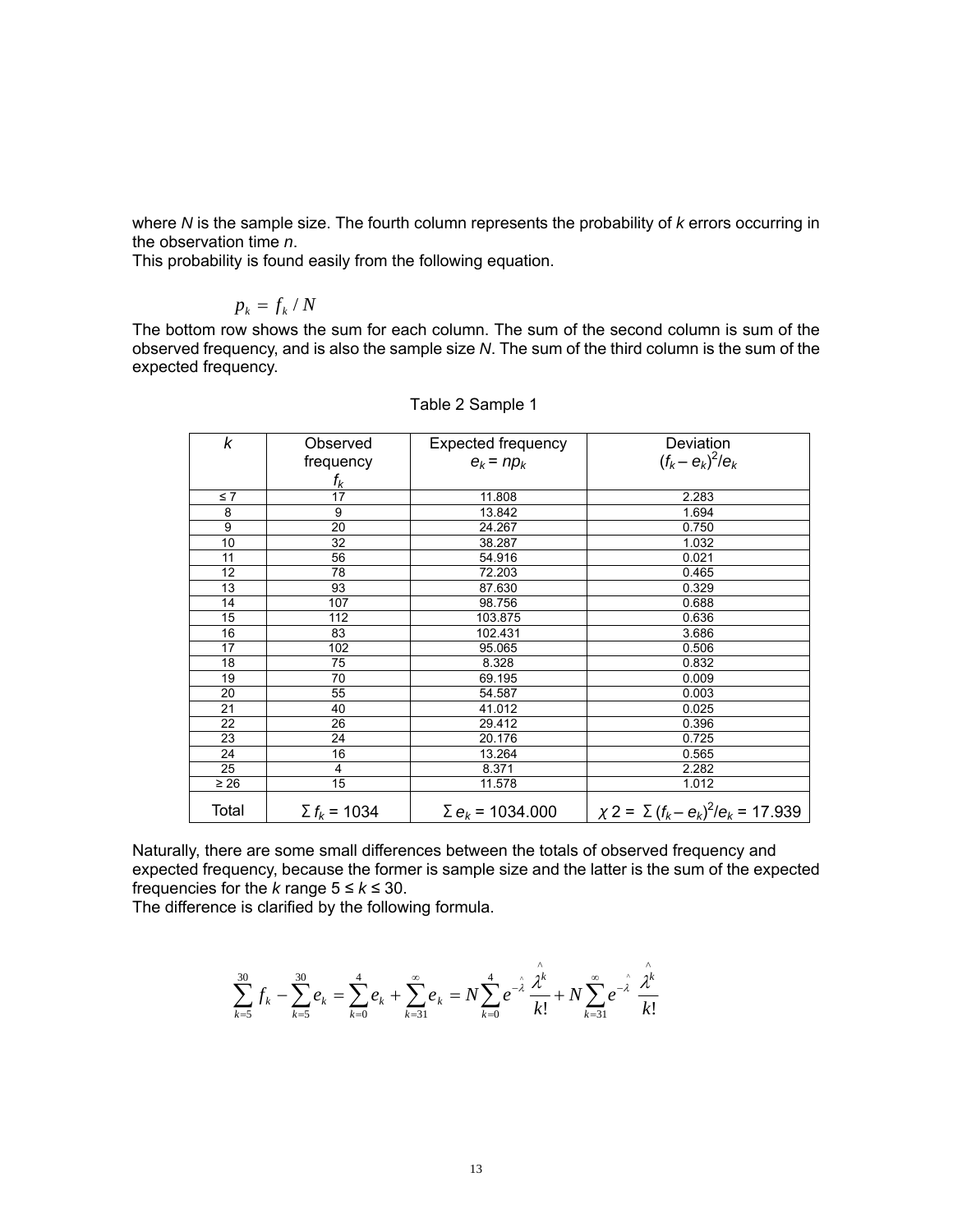where *N* is the sample size. The fourth column represents the probability of *k* errors occurring in the observation time *n*.

This probability is found easily from the following equation.

# $p_k = f_k / N$

The bottom row shows the sum for each column. The sum of the second column is sum of the observed frequency, and is also the sample size *N*. The sum of the third column is the sum of the expected frequency.

| k               | Observed            | Expected frequency                 | Deviation                                    |
|-----------------|---------------------|------------------------------------|----------------------------------------------|
|                 | frequency           | $e_k$ = $np_k$                     | $(f_k - e_k)^2/e_k$                          |
|                 | $f_{\pmb{k}}$       |                                    |                                              |
| $\leq 7$        | 17                  | 11.808                             | 2.283                                        |
| 8               | 9                   | 13.842                             | 1.694                                        |
| 9               | 20                  | 24.267                             | 0.750                                        |
| 10              | 32                  | 38.287                             | 1.032                                        |
| 11              | 56                  | 54.916                             | 0.021                                        |
| 12 <sup>2</sup> | 78                  | 72.203                             | 0.465                                        |
| 13              | 93                  | 87.630                             | 0.329                                        |
| 14              | 107                 | 98.756                             | 0.688                                        |
| 15              | 112                 | 103.875                            | 0.636                                        |
| 16              | 83                  | 102.431                            | 3.686                                        |
| 17              | 102                 | 95.065                             | 0.506                                        |
| 18              | 75                  | 8.328                              | 0.832                                        |
| 19              | 70                  | 69.195                             | 0.009                                        |
| 20              | 55                  | 54.587                             | 0.003                                        |
| 21              | 40                  | 41.012                             | 0.025                                        |
| 22              | 26                  | 29.412                             | 0.396                                        |
| 23              | 24                  | 20.176                             | 0.725                                        |
| 24              | 16                  | 13.264                             | 0.565                                        |
| 25              | 4                   | 8.371                              | 2.282                                        |
| $\geq 26$       | 15                  | 11.578                             | 1.012                                        |
| Total           | $\Sigma f_k = 1034$ | $\Sigma$ e <sub>k</sub> = 1034.000 | $\chi$ 2 = $\sum (f_k - e_k)^2/e_k$ = 17.939 |

|  |  | Table 2 Sample 1 |
|--|--|------------------|
|--|--|------------------|

Naturally, there are some small differences between the totals of observed frequency and expected frequency, because the former is sample size and the latter is the sum of the expected frequencies for the *k* range  $5 \leq k \leq 30$ .

The difference is clarified by the following formula.

$$
\sum_{k=5}^{30} f_k - \sum_{k=5}^{30} e_k = \sum_{k=0}^{4} e_k + \sum_{k=31}^{\infty} e_k = N \sum_{k=0}^{4} e^{-\lambda} \frac{\hat{\lambda}^k}{k!} + N \sum_{k=31}^{\infty} e^{-\lambda} \frac{\hat{\lambda}^k}{k!}
$$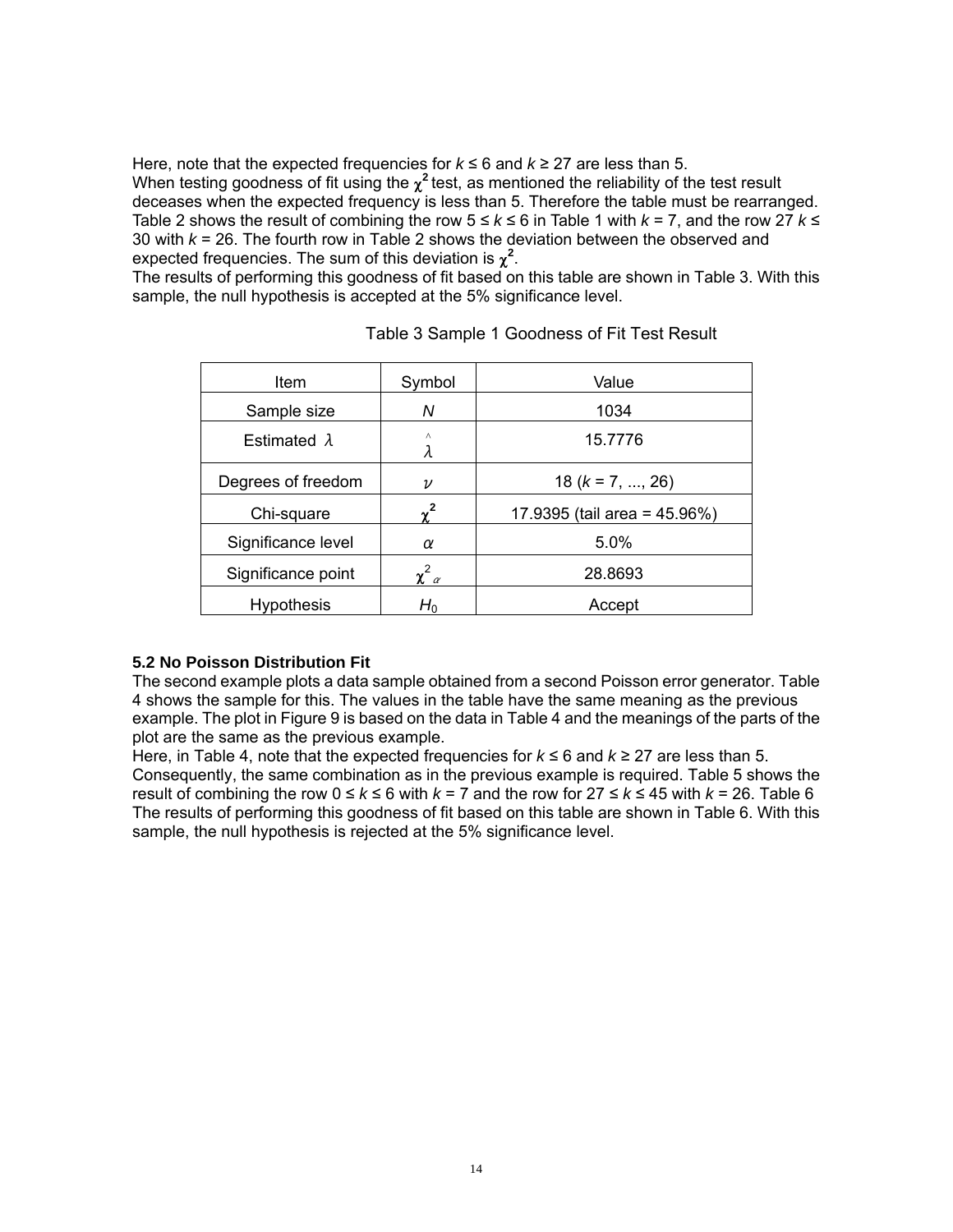Here, note that the expected frequencies for  $k \le 6$  and  $k \ge 27$  are less than 5.

When testing goodness of fit using the  $\chi^2$  test, as mentioned the reliability of the test result deceases when the expected frequency is less than 5. Therefore the table must be rearranged. Table 2 shows the result of combining the row 5 ≤ *k* ≤ 6 in Table 1 with *k* = 7, and the row 27 *k* ≤ 30 with *k* = 26. The fourth row in Table 2 shows the deviation between the observed and expected frequencies. The sum of this deviation is  $\chi^2$ .

The results of performing this goodness of fit based on this table are shown in Table 3. With this sample, the null hypothesis is accepted at the 5% significance level.

| Item                | Symbol             | Value                        |
|---------------------|--------------------|------------------------------|
| Sample size         | N                  | 1034                         |
| Estimated $\lambda$ | ٨<br>λ             | 15.7776                      |
| Degrees of freedom  | $\boldsymbol{\nu}$ | $18 (k = 7, , 26)$           |
| Chi-square          | v                  | 17.9395 (tail area = 45.96%) |
| Significance level  | α                  | 5.0%                         |
| Significance point  | $\chi^2_{\alpha}$  | 28.8693                      |
| <b>Hypothesis</b>   | $H_0$              | Accept                       |

Table 3 Sample 1 Goodness of Fit Test Result

# **5.2 No Poisson Distribution Fit**

The second example plots a data sample obtained from a second Poisson error generator. Table 4 shows the sample for this. The values in the table have the same meaning as the previous example. The plot in Figure 9 is based on the data in Table 4 and the meanings of the parts of the plot are the same as the previous example.

Here, in Table 4, note that the expected frequencies for  $k \le 6$  and  $k \ge 27$  are less than 5. Consequently, the same combination as in the previous example is required. Table 5 shows the result of combining the row  $0 \le k \le 6$  with  $k = 7$  and the row for  $27 \le k \le 45$  with  $k = 26$ . Table 6 The results of performing this goodness of fit based on this table are shown in Table 6. With this sample, the null hypothesis is rejected at the 5% significance level.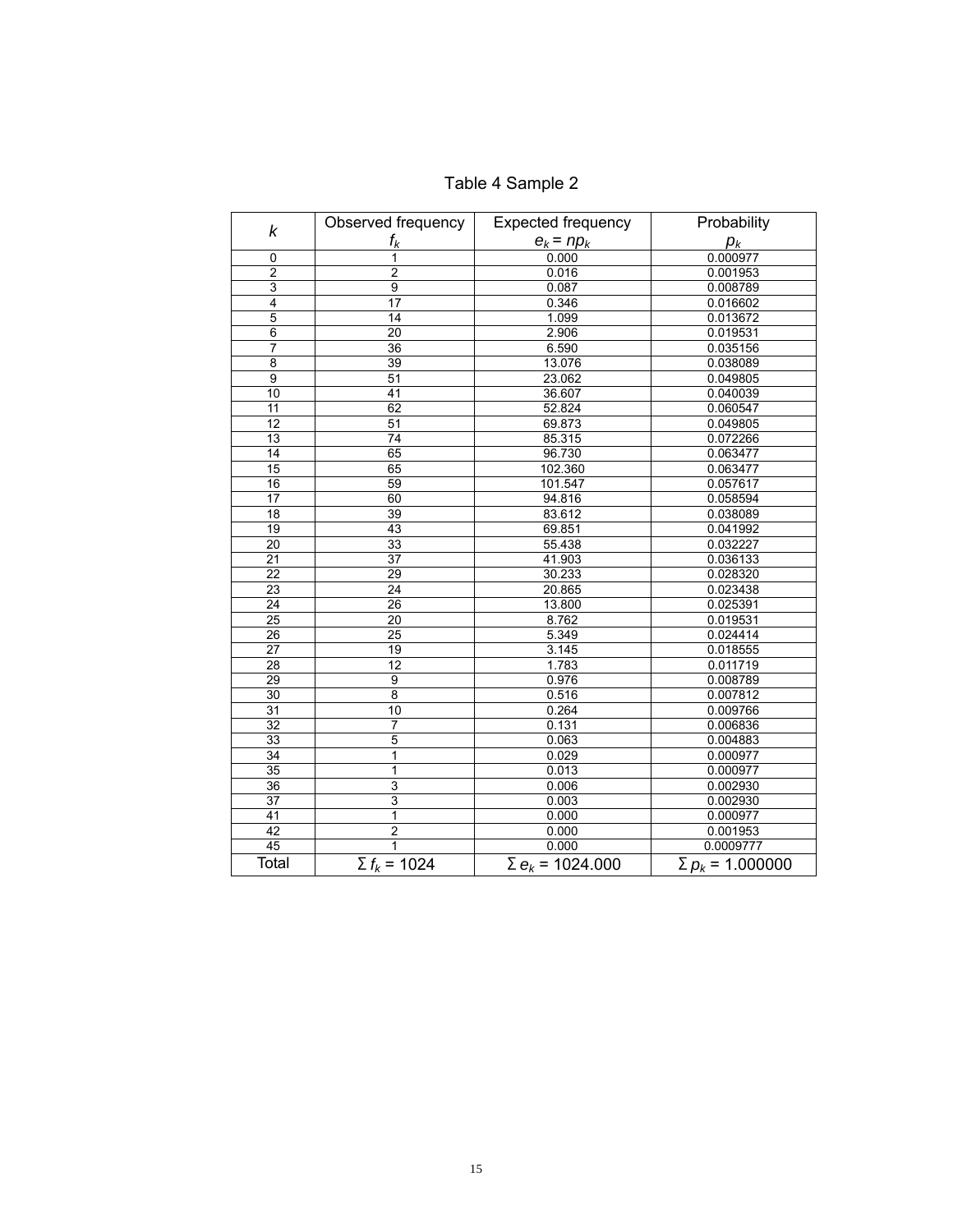| k                       | Observed frequency  | <b>Expected frequency</b>          | Probability             |
|-------------------------|---------------------|------------------------------------|-------------------------|
|                         | $f_k$               | $e_k$ = $np_k$                     | $p_k$                   |
| 0                       | 1                   | 0.000                              | 0.000977                |
| $\overline{\mathbf{c}}$ | $\overline{c}$      | 0.016                              | 0.001953                |
| 3                       | $\overline{9}$      | 0.087                              | 0.008789                |
| $\overline{4}$          | $\overline{17}$     | 0.346                              | 0.016602                |
| $\overline{5}$          | 14                  | 1.099                              | 0.013672                |
| 6                       | 20                  | 2.906                              | 0.019531                |
| $\overline{7}$          | 36                  | 6.590                              | 0.035156                |
| 8                       | 39                  | 13.076                             | 0.038089                |
| $\overline{9}$          | 51                  | 23.062                             | 0.049805                |
| 10                      | 41                  | 36.607                             | 0.040039                |
| 11                      | 62                  | 52.824                             | 0.060547                |
| 12                      | 51                  | 69.873                             | 0.049805                |
| 13                      | 74                  | 85.315                             | 0.072266                |
| 14                      | 65                  | 96.730                             | 0.063477                |
| 15                      | 65                  | 102.360                            | 0.063477                |
| 16                      | 59                  | 101.547                            | 0.057617                |
| 17                      | 60                  | 94.816                             | 0.058594                |
| 18                      | 39                  | 83.612                             | 0.038089                |
| 19                      | 43                  | 69.851                             | 0.041992                |
| 20                      | 33                  | 55.438                             | 0.032227                |
| 21                      | 37                  | 41.903                             | 0.036133                |
| $\overline{22}$         | 29                  | 30.233                             | 0.028320                |
| $\overline{23}$         | 24                  | 20.865                             | 0.023438                |
| 24                      | 26                  | 13.800                             | 0.025391                |
| 25                      | 20                  | 8.762                              | 0.019531                |
| 26                      | $\overline{25}$     | 5.349                              | 0.024414                |
| 27                      | 19                  | 3.145                              | 0.018555                |
| 28                      | 12                  | 1.783                              | 0.011719                |
| 29                      | $\overline{9}$      | 0.976                              | 0.008789                |
| 30                      | 8                   | 0.516                              | 0.007812                |
| 31                      | 10                  | 0.264                              | 0.009766                |
| 32                      | $\overline{7}$      | 0.131                              | 0.006836                |
| 33                      | $\overline{5}$      | 0.063                              | 0.004883                |
| 34                      | 1                   | 0.029                              | 0.000977                |
| 35                      | 1                   | 0.013                              | 0.000977                |
| 36                      | 3                   | 0.006                              | 0.002930                |
| 37                      | 3                   | 0.003                              | 0.002930                |
| 41                      | $\mathbf{1}$        | 0.000                              | 0.000977                |
| 42                      | $\overline{2}$      | 0.000                              | 0.001953                |
| 45                      | $\overline{1}$      | 0.000                              | 0.0009777               |
| Total                   | $\Sigma f_k = 1024$ | $\Sigma$ e <sub>k</sub> = 1024.000 | $\Sigma p_k$ = 1.000000 |

# Table 4 Sample 2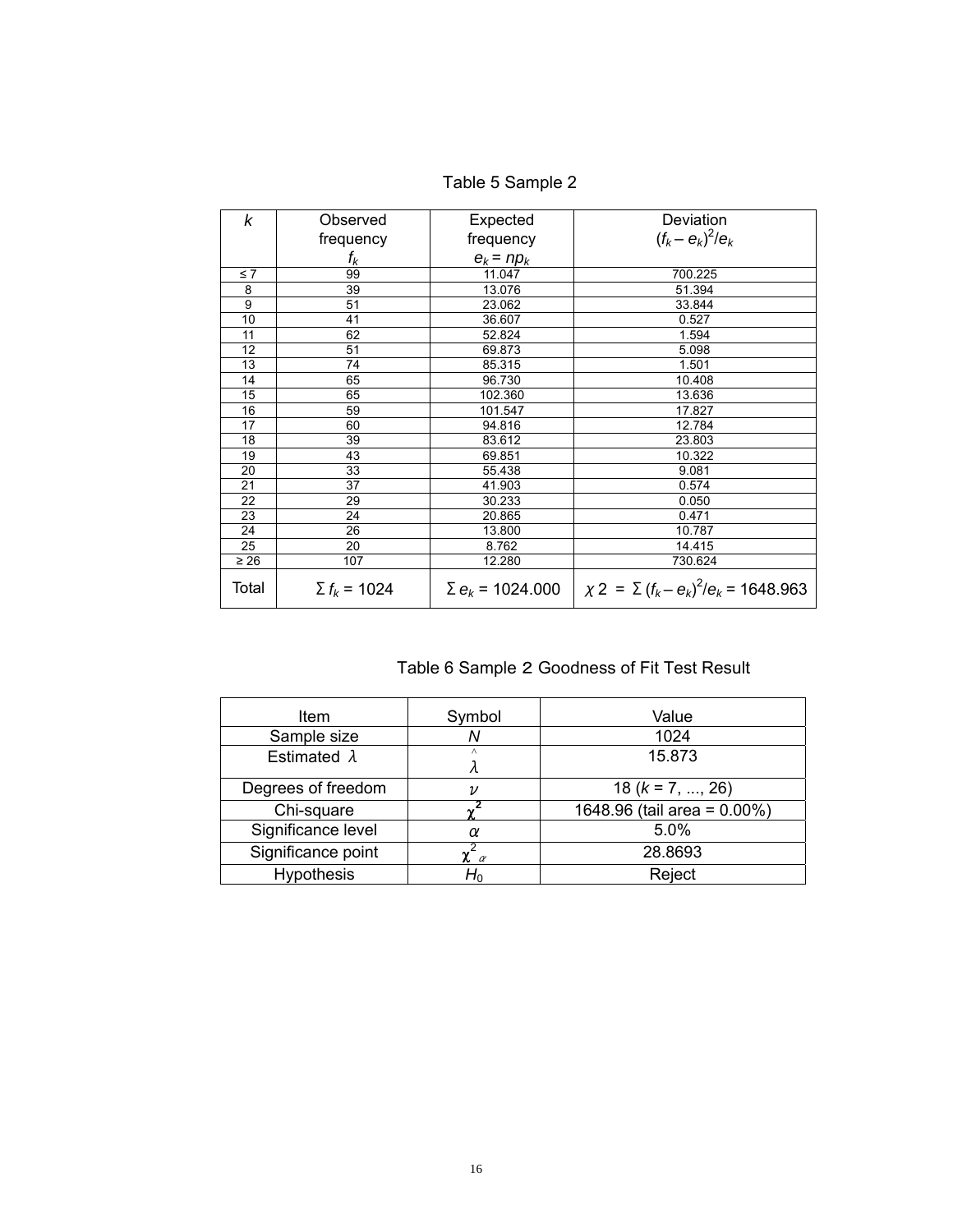| k         | Observed            | Expected                | Deviation                                        |
|-----------|---------------------|-------------------------|--------------------------------------------------|
|           | frequency           | frequency               | $(f_k - e_k)^2/e_k$                              |
|           | $f_k$               | $e_k$ = n $p_k$         |                                                  |
| $\leq 7$  | 99                  | 11.047                  | 700.225                                          |
| 8         | 39                  | 13.076                  | 51.394                                           |
| 9         | 51                  | 23.062                  | 33.844                                           |
| 10        | 41                  | 36.607                  | 0.527                                            |
| 11        | 62                  | 52.824                  | 1.594                                            |
| 12        | 51                  | 69.873                  | 5.098                                            |
| 13        | 74                  | 85.315                  | 1.501                                            |
| 14        | 65                  | 96.730                  | 10.408                                           |
| 15        | 65                  | 102.360                 | 13.636                                           |
| 16        | 59                  | 101.547                 | 17.827                                           |
| 17        | 60                  | 94.816                  | 12.784                                           |
| 18        | 39                  | 83.612                  | 23.803                                           |
| 19        | 43                  | 69.851                  | 10.322                                           |
| 20        | 33                  | 55.438                  | 9.081                                            |
| 21        | 37                  | 41.903                  | 0.574                                            |
| 22        | 29                  | 30.233                  | 0.050                                            |
| 23        | 24                  | 20.865                  | 0.471                                            |
| 24        | 26                  | 13.800                  | 10.787                                           |
| 25        | 20                  | 8.762                   | 14.415                                           |
| $\geq 26$ | 107                 | 12.280                  | 730.624                                          |
| Total     | $\Sigma f_k = 1024$ | $\Sigma e_k$ = 1024.000 | $\chi$ 2 = $\Sigma (f_k - e_k)^2/e_k$ = 1648.963 |

Table 5 Sample 2

Table 6 Sample 2 Goodness of Fit Test Result

| Item                | Symbol                       | Value                       |
|---------------------|------------------------------|-----------------------------|
| Sample size         | Ν                            | 1024                        |
| Estimated $\lambda$ | Λ                            | 15.873                      |
| Degrees of freedom  | ν                            | 18 ( $k = 7, , 26$ )        |
| Chi-square          |                              | 1648.96 (tail area = 0.00%) |
| Significance level  | α                            | 5.0%                        |
| Significance point  | $\chi$ <sup>-</sup> $\alpha$ | 28.8693                     |
| <b>Hypothesis</b>   | $H_0$                        | Reject                      |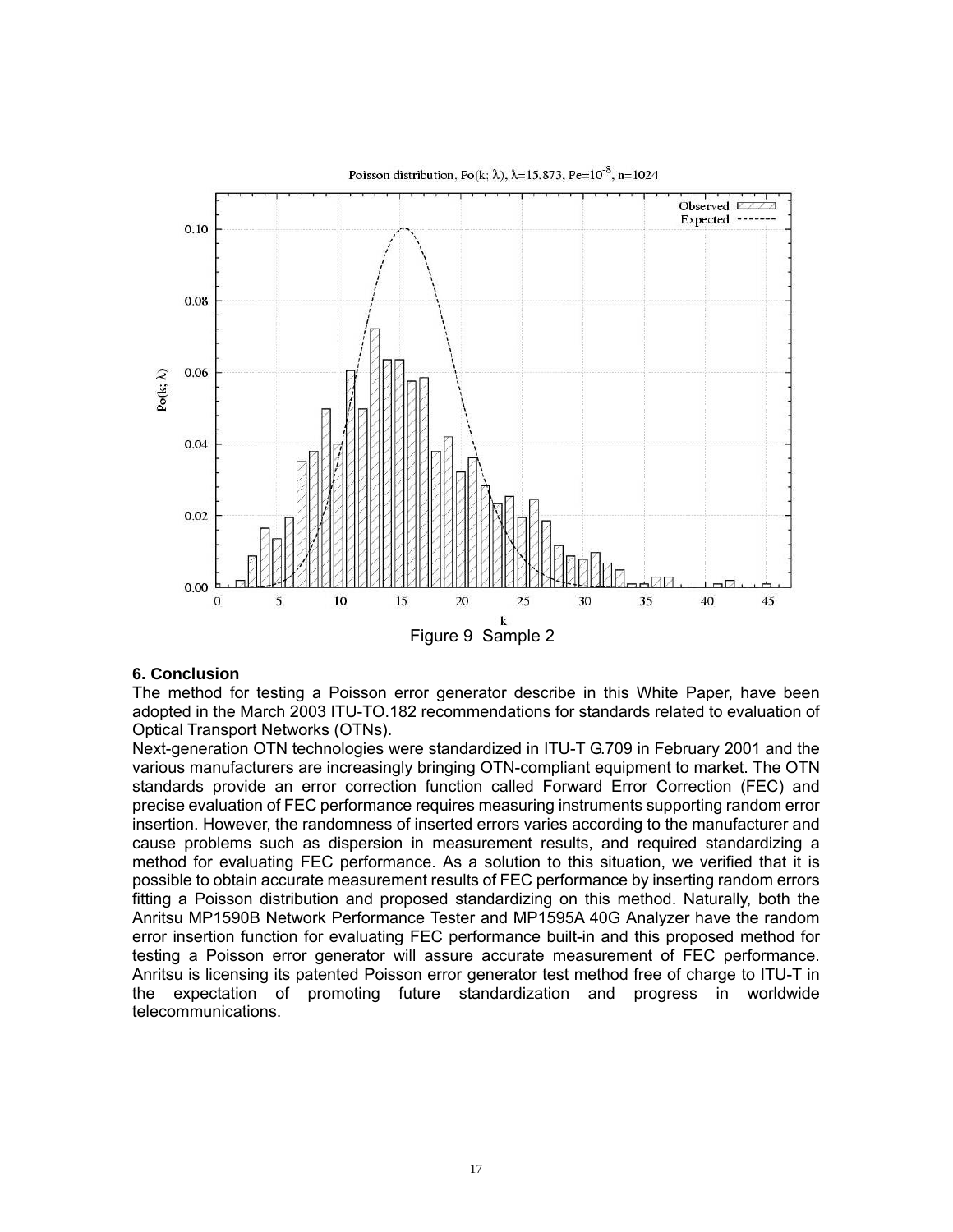

Poisson distribution, Po(k;  $\lambda$ ),  $\lambda$ =15.873, Pe=10<sup>-8</sup>, n=1024

#### **6. Conclusion**

The method for testing a Poisson error generator describe in this White Paper, have been adopted in the March 2003 ITU-TO.182 recommendations for standards related to evaluation of Optical Transport Networks (OTNs).

Next-generation OTN technologies were standardized in ITU-T G.709 in February 2001 and the various manufacturers are increasingly bringing OTN-compliant equipment to market. The OTN standards provide an error correction function called Forward Error Correction (FEC) and precise evaluation of FEC performance requires measuring instruments supporting random error insertion. However, the randomness of inserted errors varies according to the manufacturer and cause problems such as dispersion in measurement results, and required standardizing a method for evaluating FEC performance. As a solution to this situation, we verified that it is possible to obtain accurate measurement results of FEC performance by inserting random errors fitting a Poisson distribution and proposed standardizing on this method. Naturally, both the Anritsu MP1590B Network Performance Tester and MP1595A 40G Analyzer have the random error insertion function for evaluating FEC performance built-in and this proposed method for testing a Poisson error generator will assure accurate measurement of FEC performance. Anritsu is licensing its patented Poisson error generator test method free of charge to ITU-T in the expectation of promoting future standardization and progress in worldwide telecommunications.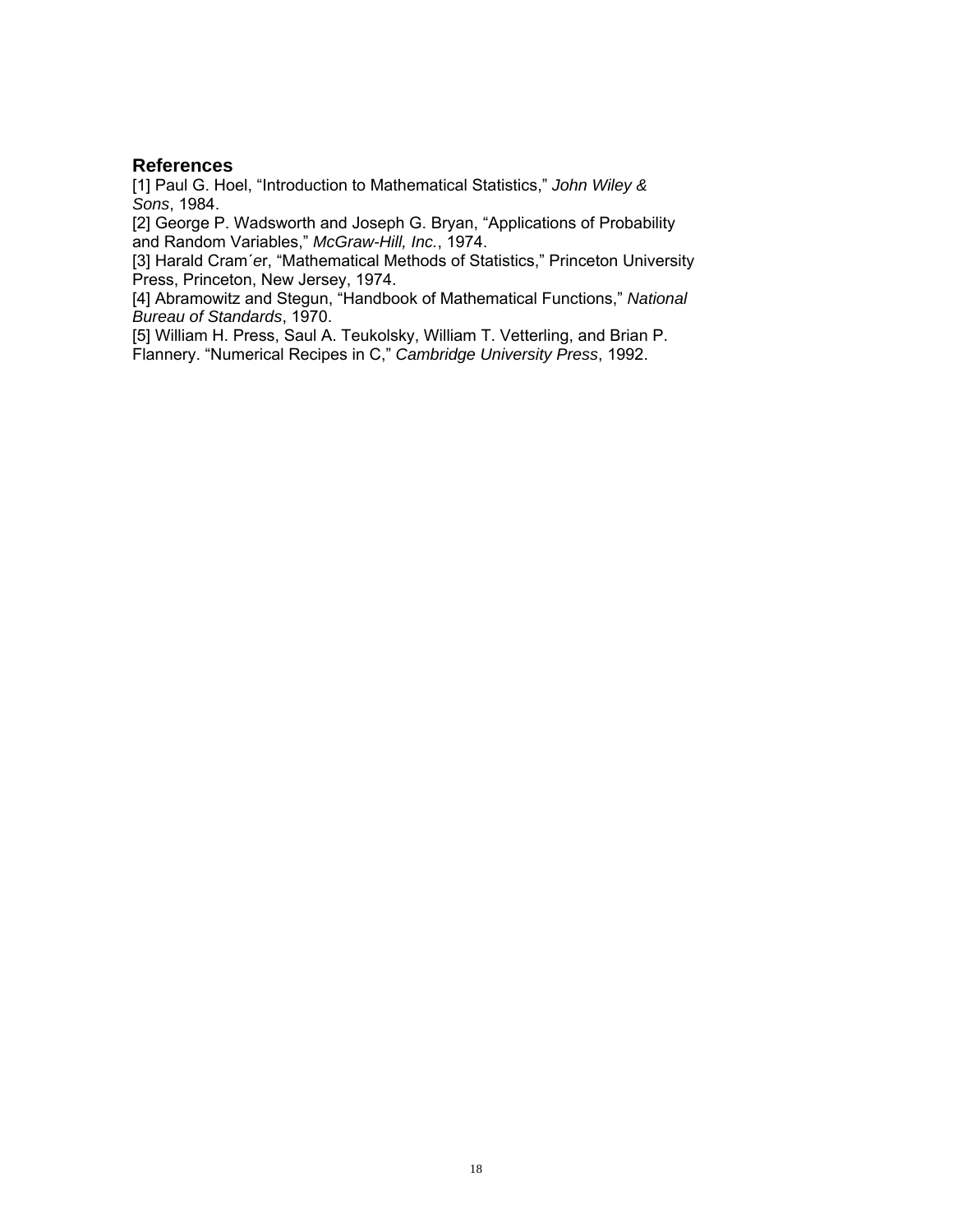### **References**

[1] Paul G. Hoel, "Introduction to Mathematical Statistics," *John Wiley & Sons*, 1984.

[2] George P. Wadsworth and Joseph G. Bryan, "Applications of Probability and Random Variables," *McGraw-Hill, Inc.*, 1974.

[3] Harald Cram´*e*r, "Mathematical Methods of Statistics," Princeton University Press, Princeton, New Jersey, 1974.

[4] Abramowitz and Stegun, "Handbook of Mathematical Functions," *National Bureau of Standards*, 1970.

[5] William H. Press, Saul A. Teukolsky, William T. Vetterling, and Brian P. Flannery. "Numerical Recipes in C," *Cambridge University Press*, 1992.